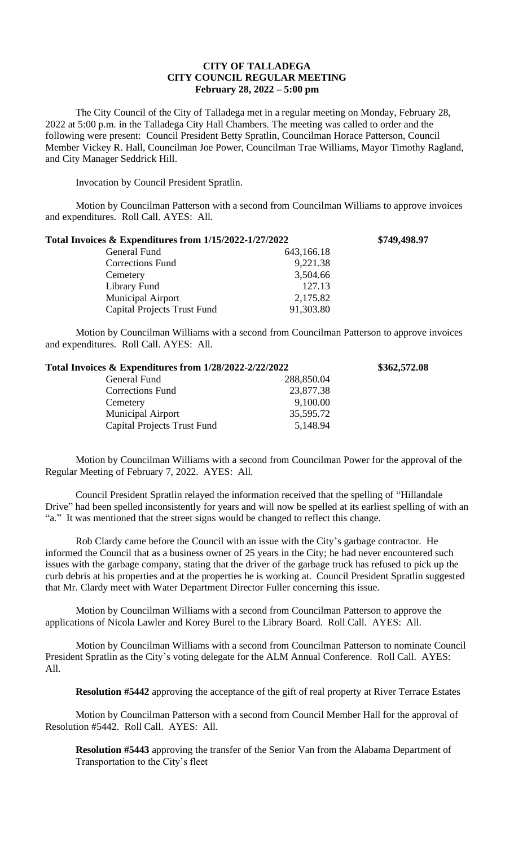## **CITY OF TALLADEGA CITY COUNCIL REGULAR MEETING February 28, 2022 – 5:00 pm**

The City Council of the City of Talladega met in a regular meeting on Monday, February 28, 2022 at 5:00 p.m. in the Talladega City Hall Chambers. The meeting was called to order and the following were present: Council President Betty Spratlin, Councilman Horace Patterson, Council Member Vickey R. Hall, Councilman Joe Power, Councilman Trae Williams, Mayor Timothy Ragland, and City Manager Seddrick Hill.

Invocation by Council President Spratlin.

Motion by Councilman Patterson with a second from Councilman Williams to approve invoices and expenditures. Roll Call. AYES: All.

| Total Invoices & Expenditures from 1/15/2022-1/27/2022 |            | \$749,498.97 |
|--------------------------------------------------------|------------|--------------|
| General Fund                                           | 643,166.18 |              |
| Corrections Fund                                       | 9,221.38   |              |
| Cemetery                                               | 3,504.66   |              |
| Library Fund                                           | 127.13     |              |
| <b>Municipal Airport</b>                               | 2,175.82   |              |
| <b>Capital Projects Trust Fund</b>                     | 91,303.80  |              |

Motion by Councilman Williams with a second from Councilman Patterson to approve invoices and expenditures. Roll Call. AYES: All.

| Total Invoices & Expenditures from 1/28/2022-2/22/2022 |            | \$362,572.08 |
|--------------------------------------------------------|------------|--------------|
| General Fund                                           | 288,850.04 |              |
| <b>Corrections Fund</b>                                | 23,877.38  |              |
| Cemetery                                               | 9,100.00   |              |
| <b>Municipal Airport</b>                               | 35,595.72  |              |
| <b>Capital Projects Trust Fund</b>                     | 5,148.94   |              |

Motion by Councilman Williams with a second from Councilman Power for the approval of the Regular Meeting of February 7, 2022. AYES: All.

Council President Spratlin relayed the information received that the spelling of "Hillandale Drive" had been spelled inconsistently for years and will now be spelled at its earliest spelling of with an "a." It was mentioned that the street signs would be changed to reflect this change.

Rob Clardy came before the Council with an issue with the City's garbage contractor. He informed the Council that as a business owner of 25 years in the City; he had never encountered such issues with the garbage company, stating that the driver of the garbage truck has refused to pick up the curb debris at his properties and at the properties he is working at. Council President Spratlin suggested that Mr. Clardy meet with Water Department Director Fuller concerning this issue.

Motion by Councilman Williams with a second from Councilman Patterson to approve the applications of Nicola Lawler and Korey Burel to the Library Board. Roll Call. AYES: All.

Motion by Councilman Williams with a second from Councilman Patterson to nominate Council President Spratlin as the City's voting delegate for the ALM Annual Conference. Roll Call. AYES: All.

**Resolution #5442** approving the acceptance of the gift of real property at River Terrace Estates

Motion by Councilman Patterson with a second from Council Member Hall for the approval of Resolution #5442. Roll Call. AYES: All.

**Resolution #5443** approving the transfer of the Senior Van from the Alabama Department of Transportation to the City's fleet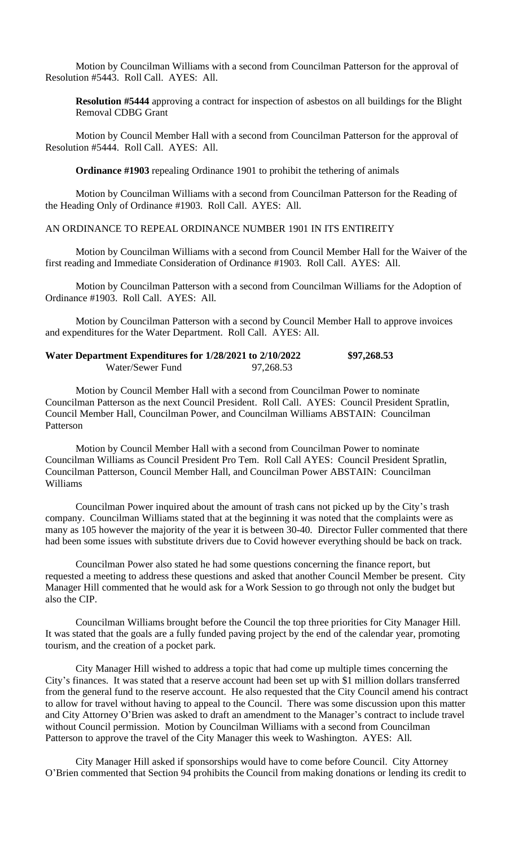Motion by Councilman Williams with a second from Councilman Patterson for the approval of Resolution #5443. Roll Call. AYES: All.

**Resolution #5444** approving a contract for inspection of asbestos on all buildings for the Blight Removal CDBG Grant

Motion by Council Member Hall with a second from Councilman Patterson for the approval of Resolution #5444. Roll Call. AYES: All.

**Ordinance #1903** repealing Ordinance 1901 to prohibit the tethering of animals

Motion by Councilman Williams with a second from Councilman Patterson for the Reading of the Heading Only of Ordinance #1903. Roll Call. AYES: All.

## AN ORDINANCE TO REPEAL ORDINANCE NUMBER 1901 IN ITS ENTIREITY

Motion by Councilman Williams with a second from Council Member Hall for the Waiver of the first reading and Immediate Consideration of Ordinance #1903. Roll Call. AYES: All.

Motion by Councilman Patterson with a second from Councilman Williams for the Adoption of Ordinance #1903. Roll Call. AYES: All.

Motion by Councilman Patterson with a second by Council Member Hall to approve invoices and expenditures for the Water Department. Roll Call. AYES: All.

| Water Department Expenditures for 1/28/2021 to 2/10/2022 |           | \$97,268.53 |
|----------------------------------------------------------|-----------|-------------|
| Water/Sewer Fund                                         | 97,268.53 |             |

Motion by Council Member Hall with a second from Councilman Power to nominate Councilman Patterson as the next Council President. Roll Call. AYES: Council President Spratlin, Council Member Hall, Councilman Power, and Councilman Williams ABSTAIN: Councilman Patterson

Motion by Council Member Hall with a second from Councilman Power to nominate Councilman Williams as Council President Pro Tem. Roll Call AYES: Council President Spratlin, Councilman Patterson, Council Member Hall, and Councilman Power ABSTAIN: Councilman Williams

Councilman Power inquired about the amount of trash cans not picked up by the City's trash company. Councilman Williams stated that at the beginning it was noted that the complaints were as many as 105 however the majority of the year it is between 30-40. Director Fuller commented that there had been some issues with substitute drivers due to Covid however everything should be back on track.

Councilman Power also stated he had some questions concerning the finance report, but requested a meeting to address these questions and asked that another Council Member be present. City Manager Hill commented that he would ask for a Work Session to go through not only the budget but also the CIP.

Councilman Williams brought before the Council the top three priorities for City Manager Hill. It was stated that the goals are a fully funded paving project by the end of the calendar year, promoting tourism, and the creation of a pocket park.

City Manager Hill wished to address a topic that had come up multiple times concerning the City's finances. It was stated that a reserve account had been set up with \$1 million dollars transferred from the general fund to the reserve account. He also requested that the City Council amend his contract to allow for travel without having to appeal to the Council. There was some discussion upon this matter and City Attorney O'Brien was asked to draft an amendment to the Manager's contract to include travel without Council permission. Motion by Councilman Williams with a second from Councilman Patterson to approve the travel of the City Manager this week to Washington. AYES: All.

City Manager Hill asked if sponsorships would have to come before Council. City Attorney O'Brien commented that Section 94 prohibits the Council from making donations or lending its credit to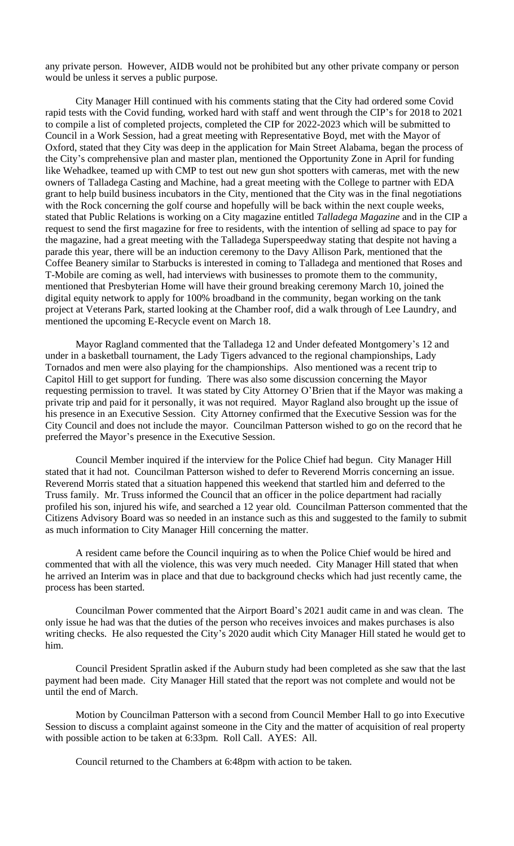any private person. However, AIDB would not be prohibited but any other private company or person would be unless it serves a public purpose.

City Manager Hill continued with his comments stating that the City had ordered some Covid rapid tests with the Covid funding, worked hard with staff and went through the CIP's for 2018 to 2021 to compile a list of completed projects, completed the CIP for 2022-2023 which will be submitted to Council in a Work Session, had a great meeting with Representative Boyd, met with the Mayor of Oxford, stated that they City was deep in the application for Main Street Alabama, began the process of the City's comprehensive plan and master plan, mentioned the Opportunity Zone in April for funding like Wehadkee, teamed up with CMP to test out new gun shot spotters with cameras, met with the new owners of Talladega Casting and Machine, had a great meeting with the College to partner with EDA grant to help build business incubators in the City, mentioned that the City was in the final negotiations with the Rock concerning the golf course and hopefully will be back within the next couple weeks, stated that Public Relations is working on a City magazine entitled *Talladega Magazine* and in the CIP a request to send the first magazine for free to residents, with the intention of selling ad space to pay for the magazine, had a great meeting with the Talladega Superspeedway stating that despite not having a parade this year, there will be an induction ceremony to the Davy Allison Park, mentioned that the Coffee Beanery similar to Starbucks is interested in coming to Talladega and mentioned that Roses and T-Mobile are coming as well, had interviews with businesses to promote them to the community, mentioned that Presbyterian Home will have their ground breaking ceremony March 10, joined the digital equity network to apply for 100% broadband in the community, began working on the tank project at Veterans Park, started looking at the Chamber roof, did a walk through of Lee Laundry, and mentioned the upcoming E-Recycle event on March 18.

Mayor Ragland commented that the Talladega 12 and Under defeated Montgomery's 12 and under in a basketball tournament, the Lady Tigers advanced to the regional championships, Lady Tornados and men were also playing for the championships. Also mentioned was a recent trip to Capitol Hill to get support for funding. There was also some discussion concerning the Mayor requesting permission to travel. It was stated by City Attorney O'Brien that if the Mayor was making a private trip and paid for it personally, it was not required. Mayor Ragland also brought up the issue of his presence in an Executive Session. City Attorney confirmed that the Executive Session was for the City Council and does not include the mayor. Councilman Patterson wished to go on the record that he preferred the Mayor's presence in the Executive Session.

Council Member inquired if the interview for the Police Chief had begun. City Manager Hill stated that it had not. Councilman Patterson wished to defer to Reverend Morris concerning an issue. Reverend Morris stated that a situation happened this weekend that startled him and deferred to the Truss family. Mr. Truss informed the Council that an officer in the police department had racially profiled his son, injured his wife, and searched a 12 year old. Councilman Patterson commented that the Citizens Advisory Board was so needed in an instance such as this and suggested to the family to submit as much information to City Manager Hill concerning the matter.

A resident came before the Council inquiring as to when the Police Chief would be hired and commented that with all the violence, this was very much needed. City Manager Hill stated that when he arrived an Interim was in place and that due to background checks which had just recently came, the process has been started.

Councilman Power commented that the Airport Board's 2021 audit came in and was clean. The only issue he had was that the duties of the person who receives invoices and makes purchases is also writing checks. He also requested the City's 2020 audit which City Manager Hill stated he would get to him.

Council President Spratlin asked if the Auburn study had been completed as she saw that the last payment had been made. City Manager Hill stated that the report was not complete and would not be until the end of March.

Motion by Councilman Patterson with a second from Council Member Hall to go into Executive Session to discuss a complaint against someone in the City and the matter of acquisition of real property with possible action to be taken at 6:33pm. Roll Call. AYES: All.

Council returned to the Chambers at 6:48pm with action to be taken.